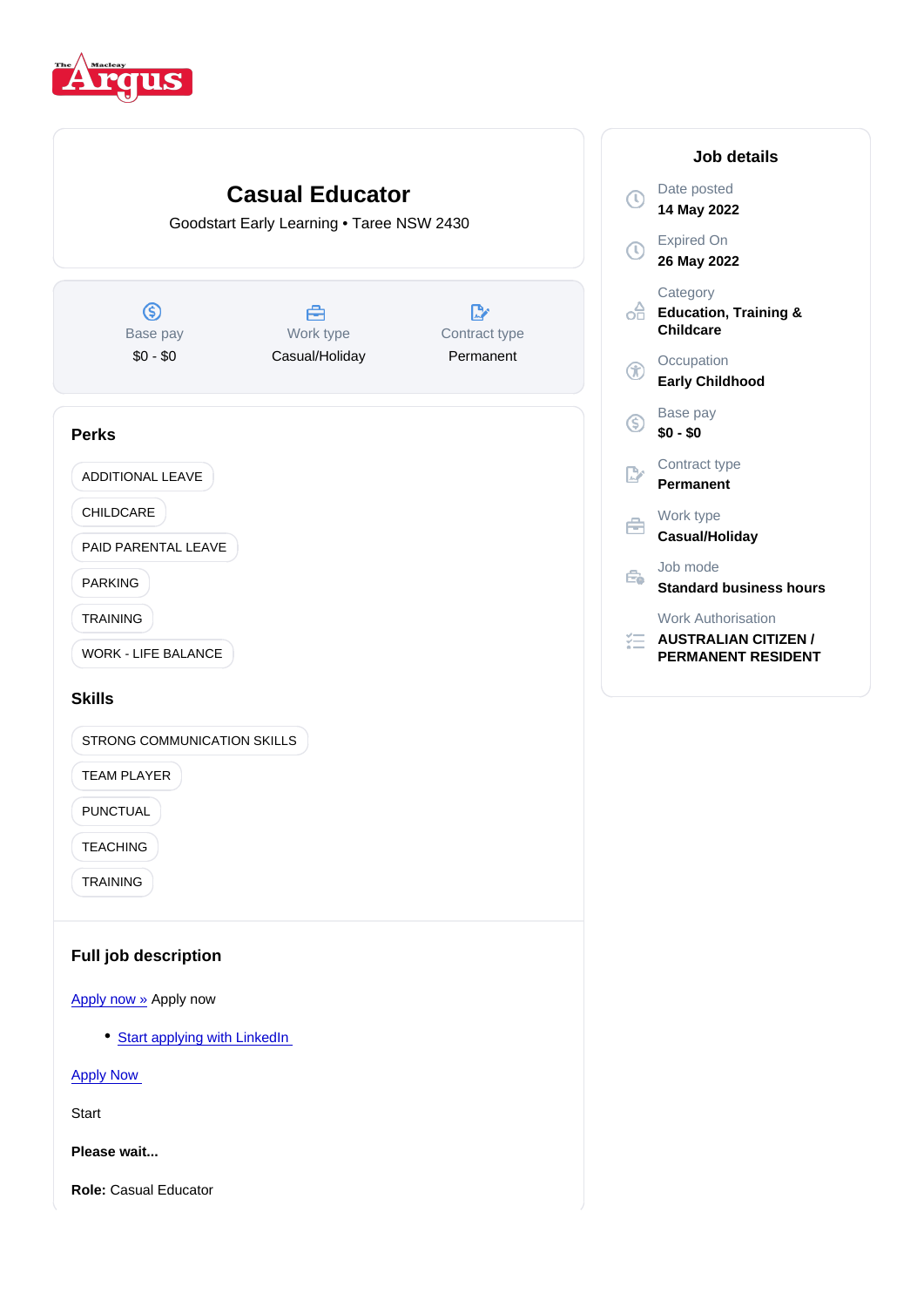

#### Job details

Date posted 14 May 2022

Expired On 26 May 2022

**Category** Education, Training & Childcare

**Occupation** Early Childhood

Base pay \$0 - \$0

Contract type Permanent

Work type

Casual/Holiday

Job mode Standard business hours

Work Authorisation

AUSTRALIAN CITIZEN / PERMANENT RESIDENT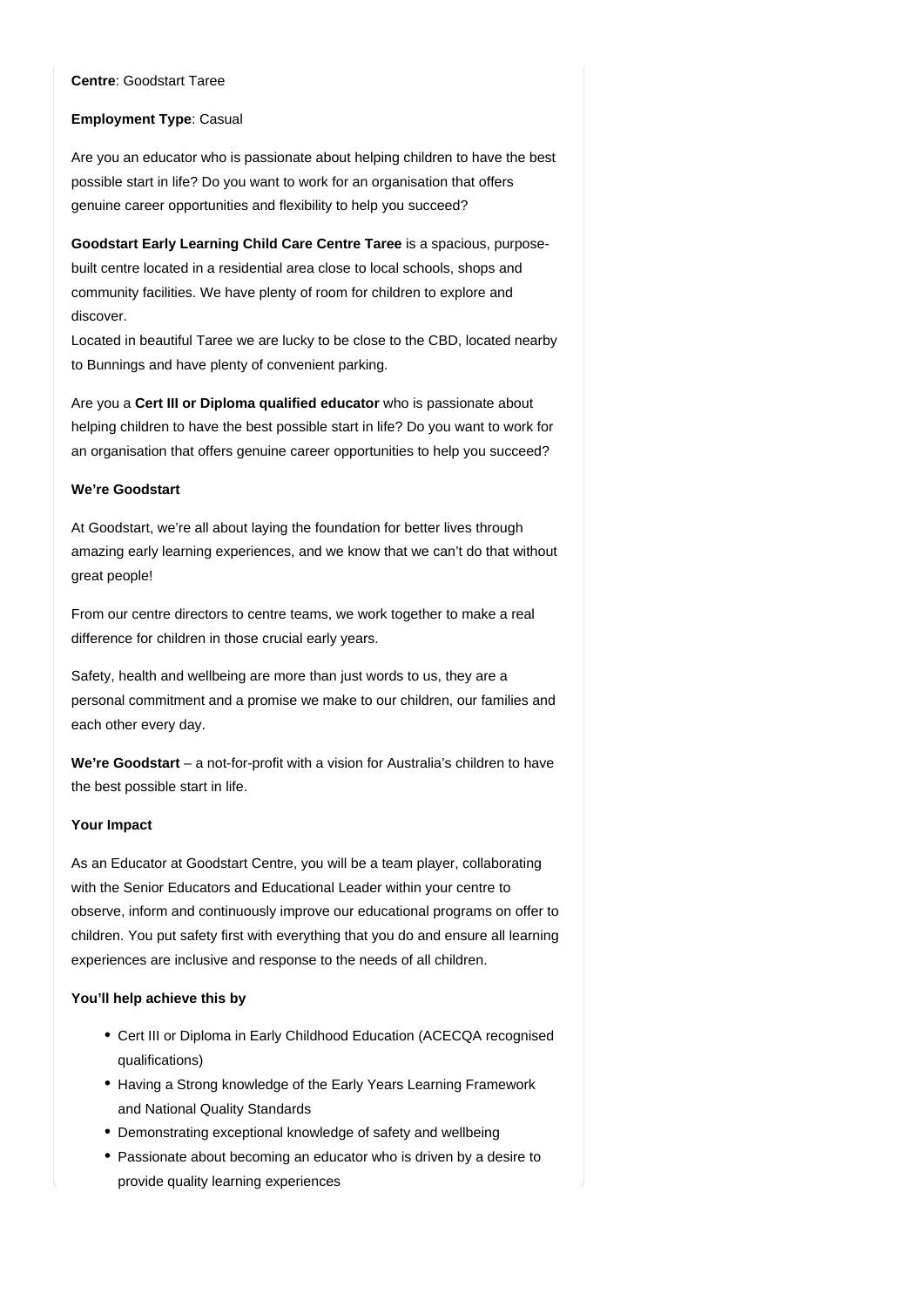## **Centre**: Goodstart Taree

#### **Employment Type**: Casual

Are you an educator who is passionate about helping children to have the best possible start in life? Do you want to work for an organisation that offers genuine career opportunities and flexibility to help you succeed?

Goodstart Early Learning Child Care Centre Taree is a spacious, purposebuilt centre located in a residential area close to local schools, shops and community facilities. We have plenty of room for children to explore and discover.

Located in beautiful Taree we are lucky to be close to the CBD, located nearby to Bunnings and have plenty of convenient parking.

Are you a Cert III or Diploma qualified educator who is passionate about helping children to have the best possible start in life? Do you want to work for an organisation that offers genuine career opportunities to help you succeed?

## **We're Goodstart**

At Goodstart, we're all about laying the foundation for better lives through amazing early learning experiences, and we know that we can't do that without great people!

From our centre directors to centre teams, we work together to make a real difference for children in those crucial early years.

Safety, health and wellbeing are more than just words to us, they are a personal commitment and a promise we make to our children, our families and each other every day.

We're Goodstart – a not-for-profit with a vision for Australia's children to have the best possible start in life.

# **Your Impact**

As an Educator at Goodstart Centre, you will be a team player, collaborating with the Senior Educators and Educational Leader within your centre to observe, inform and continuously improve our educational programs on offer to children. You put safety first with everything that you do and ensure all learning experiences are inclusive and response to the needs of all children.

# **You'll help achieve this by**

- Cert III or Diploma in Early Childhood Education (ACECQA recognised qualifications)
- Having a Strong knowledge of the Early Years Learning Framework and National Quality Standards
- Demonstrating exceptional knowledge of safety and wellbeing
- Passionate about becoming an educator who is driven by a desire to provide quality learning experiences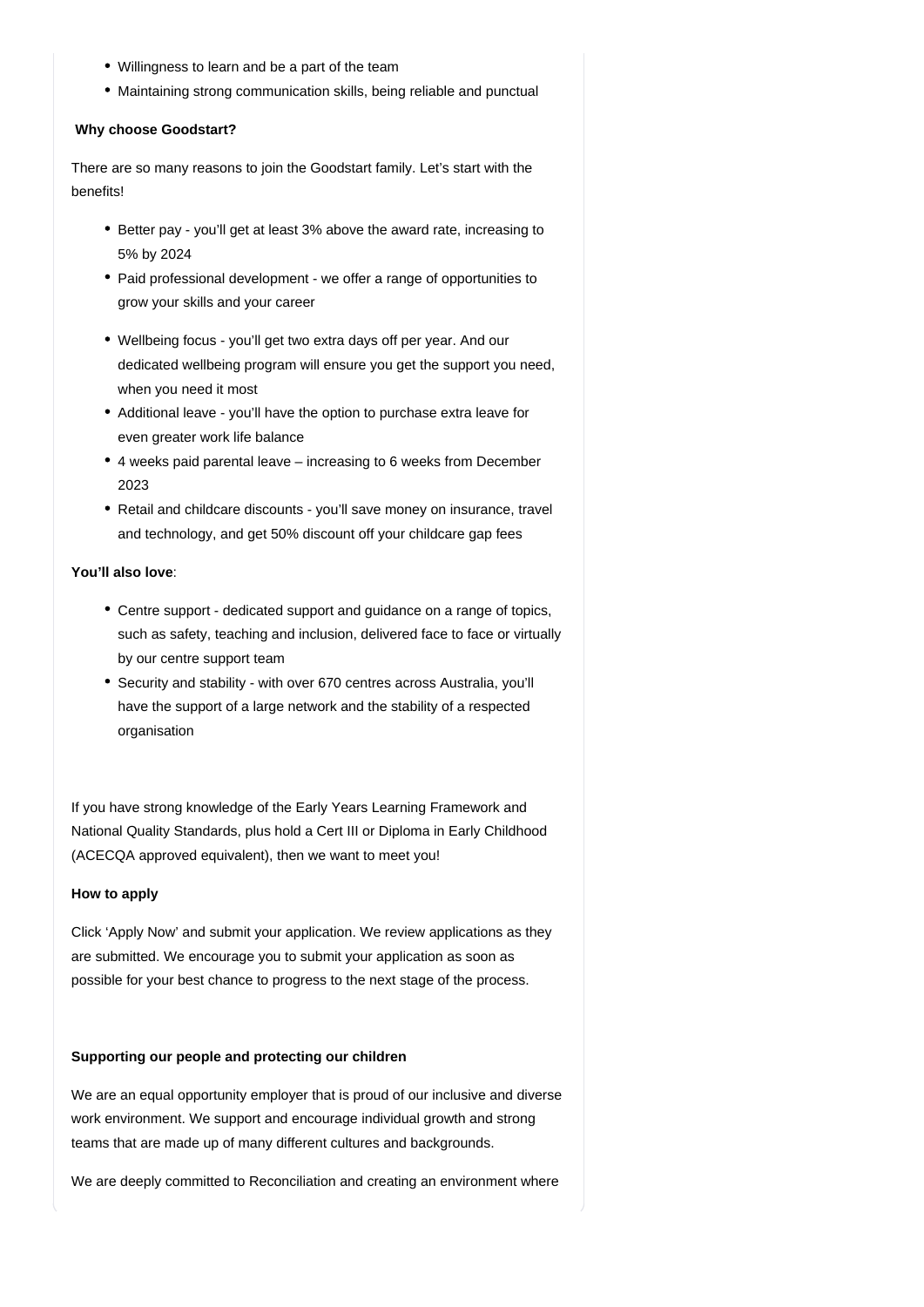- Willingness to learn and be a part of the team
- Maintaining strong communication skills, being reliable and punctual

## **Why choose Goodstart?**

There are so many reasons to join the Goodstart family. Let's start with the benefits!

- Better pay you'll get at least 3% above the award rate, increasing to 5% by 2024
- Paid professional development we offer a range of opportunities to grow your skills and your career
- Wellbeing focus you'll get two extra days off per year. And our dedicated wellbeing program will ensure you get the support you need, when you need it most
- Additional leave you'll have the option to purchase extra leave for even greater work life balance
- 4 weeks paid parental leave increasing to 6 weeks from December 2023
- Retail and childcare discounts you'll save money on insurance, travel and technology, and get 50% discount off your childcare gap fees

#### **You'll also love**:

- Centre support dedicated support and guidance on a range of topics, such as safety, teaching and inclusion, delivered face to face or virtually by our centre support team
- Security and stability with over 670 centres across Australia, you'll have the support of a large network and the stability of a respected organisation

If you have strong knowledge of the Early Years Learning Framework and National Quality Standards, plus hold a Cert III or Diploma in Early Childhood (ACECQA approved equivalent), then we want to meet you!

# **How to apply**

Click 'Apply Now' and submit your application. We review applications as they are submitted. We encourage you to submit your application as soon as possible for your best chance to progress to the next stage of the process.

# **Supporting our people and protecting our children**

We are an equal opportunity employer that is proud of our inclusive and diverse work environment. We support and encourage individual growth and strong teams that are made up of many different cultures and backgrounds.

We are deeply committed to Reconciliation and creating an environment where